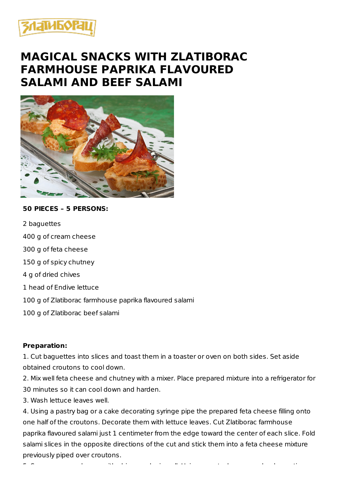

## **MAGICAL SNACKS WITH ZLATIBORAC FARMHOUSE PAPRIKA FLAVOURED SALAMI AND BEEF SALAMI**



## **50 PIECES – 5 PERSONS:**

2 baguettes

400 g of cream cheese

300 g of feta cheese

150 g of spicy chutney

4 g of dried chives

1 head of Endive lettuce

100 g of Zlatiborac farmhouse paprika flavoured salami

100 g of Zlatiborac beef salami

## **Preparation:**

1. Cut baguettes into slices and toast them in a toaster or oven on both sides. Set aside obtained croutons to cool down.

2. Mix well feta cheese and chutney with a mixer. Place prepared mixture into a refrigerator for 30 minutes so it can cool down and harden.

3. Wash lettuce leaves well.

4. Using a pastry bag or a cake decorating syringe pipe the prepared feta cheese filling onto one half of the croutons. Decorate them with lettuce leaves. Cut Zlatiborac farmhouse paprika flavoured salami just 1 centimeter from the edge toward the center of each slice. Fold salami slices in the opposite directions of the cut and stick them into a feta cheese mixture previously piped over croutons.

5. Season cream cheese with chives and mix well. Using a pastry bag or a cake decorating